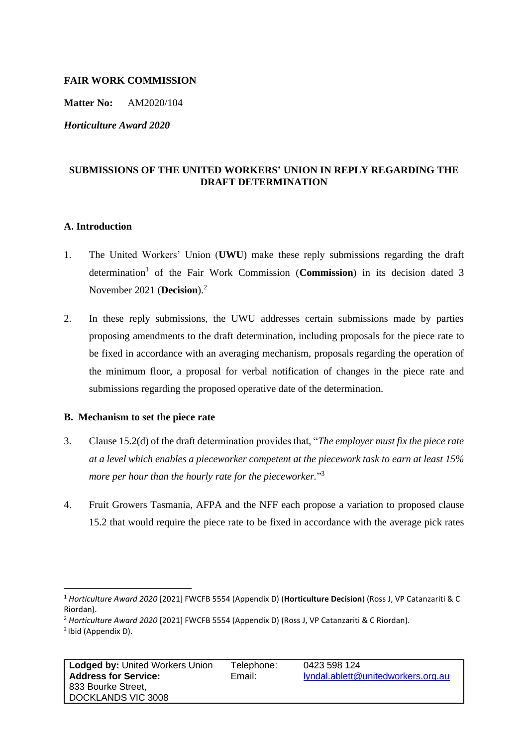### **FAIR WORK COMMISSION**

**Matter No:** AM2020/104

*Horticulture Award 2020*

# **SUBMISSIONS OF THE UNITED WORKERS' UNION IN REPLY REGARDING THE DRAFT DETERMINATION**

#### **A. Introduction**

- 1. The United Workers' Union (**UWU**) make these reply submissions regarding the draft determination<sup>1</sup> of the Fair Work Commission (Commission) in its decision dated 3 November 2021 (**Decision**). 2
- 2. In these reply submissions, the UWU addresses certain submissions made by parties proposing amendments to the draft determination, including proposals for the piece rate to be fixed in accordance with an averaging mechanism, proposals regarding the operation of the minimum floor, a proposal for verbal notification of changes in the piece rate and submissions regarding the proposed operative date of the determination.

### **B. Mechanism to set the piece rate**

- 3. Clause 15.2(d) of the draft determination provides that, "*The employer must fix the piece rate at a level which enables a pieceworker competent at the piecework task to earn at least 15% more per hour than the hourly rate for the pieceworker.*" 3
- 4. Fruit Growers Tasmania, AFPA and the NFF each propose a variation to proposed clause 15.2 that would require the piece rate to be fixed in accordance with the average pick rates

<sup>1</sup> *Horticulture Award 2020* [2021] FWCFB 5554 (Appendix D) (**Horticulture Decision**) (Ross J, VP Catanzariti & C Riordan).

<sup>2</sup> *Horticulture Award 2020* [2021] FWCFB 5554 (Appendix D) (Ross J, VP Catanzariti & C Riordan). 3 Ibid (Appendix D).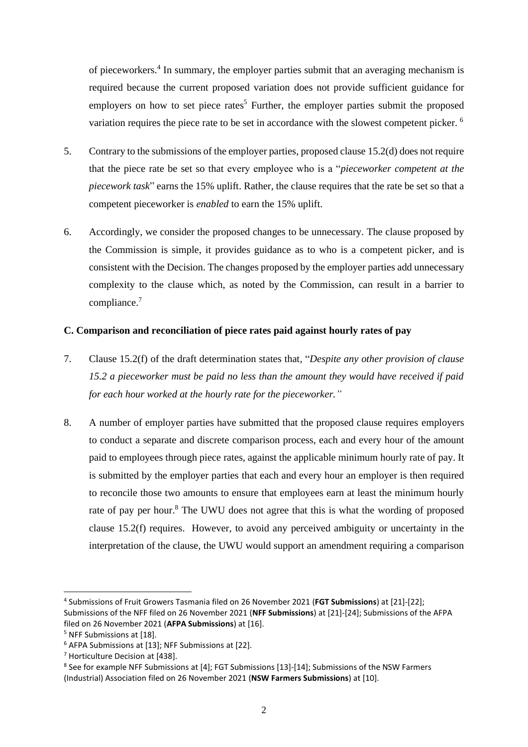of pieceworkers.<sup>4</sup> In summary, the employer parties submit that an averaging mechanism is required because the current proposed variation does not provide sufficient guidance for employers on how to set piece rates<sup>5</sup> Further, the employer parties submit the proposed variation requires the piece rate to be set in accordance with the slowest competent picker. <sup>6</sup>

- 5. Contrary to the submissions of the employer parties, proposed clause 15.2(d) does not require that the piece rate be set so that every employee who is a "*pieceworker competent at the piecework task*" earns the 15% uplift. Rather, the clause requires that the rate be set so that a competent pieceworker is *enabled* to earn the 15% uplift.
- 6. Accordingly, we consider the proposed changes to be unnecessary. The clause proposed by the Commission is simple, it provides guidance as to who is a competent picker, and is consistent with the Decision. The changes proposed by the employer parties add unnecessary complexity to the clause which, as noted by the Commission, can result in a barrier to compliance.<sup>7</sup>

### **C. Comparison and reconciliation of piece rates paid against hourly rates of pay**

- 7. Clause 15.2(f) of the draft determination states that, "*Despite any other provision of clause 15.2 a pieceworker must be paid no less than the amount they would have received if paid for each hour worked at the hourly rate for the pieceworker."*
- 8. A number of employer parties have submitted that the proposed clause requires employers to conduct a separate and discrete comparison process, each and every hour of the amount paid to employees through piece rates, against the applicable minimum hourly rate of pay. It is submitted by the employer parties that each and every hour an employer is then required to reconcile those two amounts to ensure that employees earn at least the minimum hourly rate of pay per hour.<sup>8</sup> The UWU does not agree that this is what the wording of proposed clause 15.2(f) requires. However, to avoid any perceived ambiguity or uncertainty in the interpretation of the clause, the UWU would support an amendment requiring a comparison

<sup>4</sup> Submissions of Fruit Growers Tasmania filed on 26 November 2021 (**FGT Submissions**) at [21]-[22]; Submissions of the NFF filed on 26 November 2021 (**NFF Submissions**) at [21]-[24]; Submissions of the AFPA filed on 26 November 2021 (**AFPA Submissions**) at [16].

<sup>5</sup> NFF Submissions at [18].

<sup>6</sup> AFPA Submissions at [13]; NFF Submissions at [22].

<sup>7</sup> Horticulture Decision at [438].

<sup>&</sup>lt;sup>8</sup> See for example NFF Submissions at [4]; FGT Submissions [13]-[14]; Submissions of the NSW Farmers (Industrial) Association filed on 26 November 2021 (**NSW Farmers Submissions**) at [10].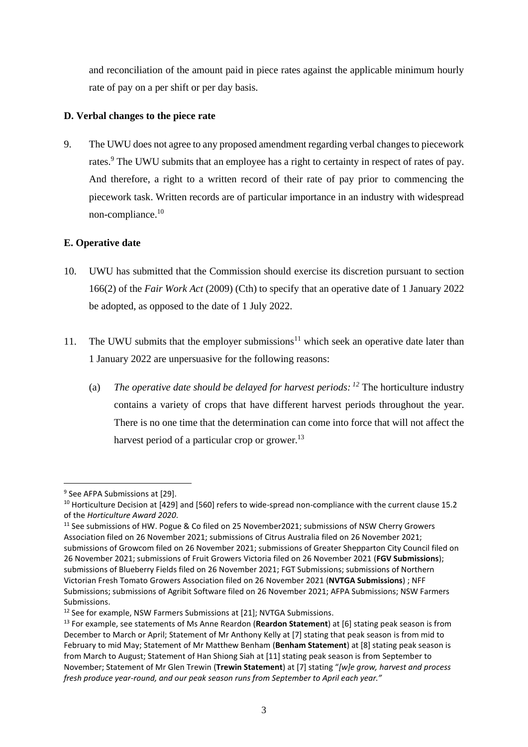and reconciliation of the amount paid in piece rates against the applicable minimum hourly rate of pay on a per shift or per day basis.

## **D. Verbal changes to the piece rate**

9. The UWU does not agree to any proposed amendment regarding verbal changes to piecework rates.<sup>9</sup> The UWU submits that an employee has a right to certainty in respect of rates of pay. And therefore, a right to a written record of their rate of pay prior to commencing the piecework task. Written records are of particular importance in an industry with widespread non-compliance.<sup>10</sup>

## **E. Operative date**

- 10. UWU has submitted that the Commission should exercise its discretion pursuant to section 166(2) of the *Fair Work Act* (2009) (Cth) to specify that an operative date of 1 January 2022 be adopted, as opposed to the date of 1 July 2022.
- 11. The UWU submits that the employer submissions<sup>11</sup> which seek an operative date later than 1 January 2022 are unpersuasive for the following reasons:
	- (a) *The operative date should be delayed for harvest periods: <sup>12</sup>* The horticulture industry contains a variety of crops that have different harvest periods throughout the year. There is no one time that the determination can come into force that will not affect the harvest period of a particular crop or grower.<sup>13</sup>

<sup>&</sup>lt;sup>9</sup> See AFPA Submissions at [29].

<sup>&</sup>lt;sup>10</sup> Horticulture Decision at [429] and [560] refers to wide-spread non-compliance with the current clause 15.2 of the *Horticulture Award 2020*.

<sup>&</sup>lt;sup>11</sup> See submissions of HW. Pogue & Co filed on 25 November2021; submissions of NSW Cherry Growers Association filed on 26 November 2021; submissions of Citrus Australia filed on 26 November 2021; submissions of Growcom filed on 26 November 2021; submissions of Greater Shepparton City Council filed on 26 November 2021; submissions of Fruit Growers Victoria filed on 26 November 2021 (**FGV Submissions**); submissions of Blueberry Fields filed on 26 November 2021; FGT Submissions; submissions of Northern Victorian Fresh Tomato Growers Association filed on 26 November 2021 (**NVTGA Submissions**) ; NFF Submissions; submissions of Agribit Software filed on 26 November 2021; AFPA Submissions; NSW Farmers Submissions.

<sup>&</sup>lt;sup>12</sup> See for example, NSW Farmers Submissions at [21]; NVTGA Submissions.

<sup>13</sup> For example, see statements of Ms Anne Reardon (**Reardon Statement**) at [6] stating peak season is from December to March or April; Statement of Mr Anthony Kelly at [7] stating that peak season is from mid to February to mid May; Statement of Mr Matthew Benham (**Benham Statement**) at [8] stating peak season is from March to August; Statement of Han Shiong Siah at [11] stating peak season is from September to November; Statement of Mr Glen Trewin (**Trewin Statement**) at [7] stating "*[w]e grow, harvest and process fresh produce year-round, and our peak season runs from September to April each year."*